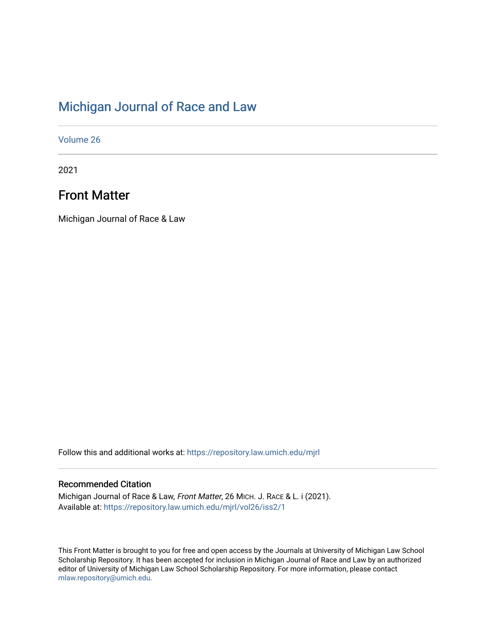# [Michigan Journal of Race and Law](https://repository.law.umich.edu/mjrl)

[Volume 26](https://repository.law.umich.edu/mjrl/vol26)

2021

# Front Matter

Michigan Journal of Race & Law

Follow this and additional works at: [https://repository.law.umich.edu/mjrl](https://repository.law.umich.edu/mjrl?utm_source=repository.law.umich.edu%2Fmjrl%2Fvol26%2Fiss2%2F1&utm_medium=PDF&utm_campaign=PDFCoverPages) 

## Recommended Citation

Michigan Journal of Race & Law, Front Matter, 26 MICH. J. RACE & L. i (2021). Available at: [https://repository.law.umich.edu/mjrl/vol26/iss2/1](https://repository.law.umich.edu/mjrl/vol26/iss2/1?utm_source=repository.law.umich.edu%2Fmjrl%2Fvol26%2Fiss2%2F1&utm_medium=PDF&utm_campaign=PDFCoverPages) 

This Front Matter is brought to you for free and open access by the Journals at University of Michigan Law School Scholarship Repository. It has been accepted for inclusion in Michigan Journal of Race and Law by an authorized editor of University of Michigan Law School Scholarship Repository. For more information, please contact [mlaw.repository@umich.edu.](mailto:mlaw.repository@umich.edu)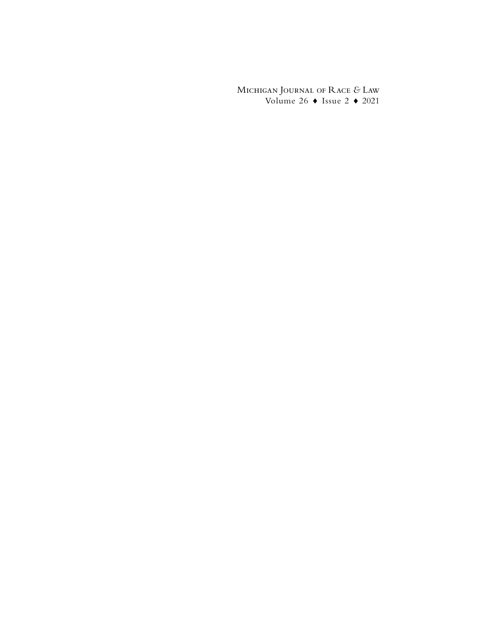Michigan Journal of Race *&* Law Volume 26  $\bullet$  Issue 2  $\bullet$  2021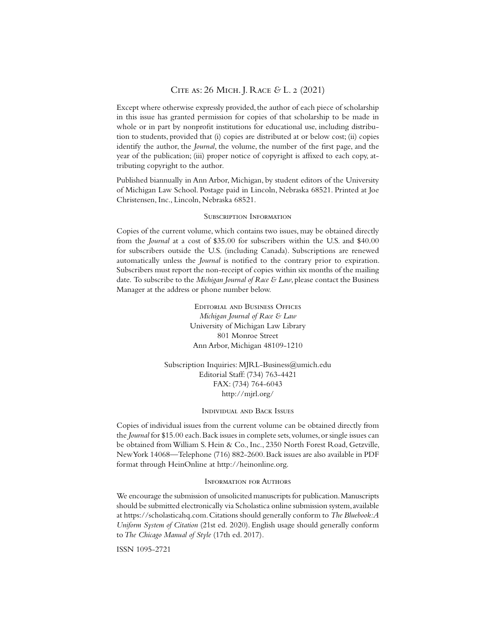## Cite as: 26 Mich. J. Race *&* L. 2 (2021)

Except where otherwise expressly provided, the author of each piece of scholarship in this issue has granted permission for copies of that scholarship to be made in whole or in part by nonprofit institutions for educational use, including distribution to students, provided that (i) copies are distributed at or below cost; (ii) copies identify the author, the *Journal*, the volume, the number of the first page, and the year of the publication; (iii) proper notice of copyright is affixed to each copy, attributing copyright to the author.

Published biannually in Ann Arbor, Michigan, by student editors of the University of Michigan Law School. Postage paid in Lincoln, Nebraska 68521. Printed at Joe Christensen, Inc., Lincoln, Nebraska 68521.

#### Subscription Information

Copies of the current volume, which contains two issues, may be obtained directly from the *Journal* at a cost of \$35.00 for subscribers within the U.S. and \$40.00 for subscribers outside the U.S. (including Canada). Subscriptions are renewed automatically unless the *Journal* is notified to the contrary prior to expiration. Subscribers must report the non-receipt of copies within six months of the mailing date. To subscribe to the *Michigan Journal of Race & Law*, please contact the Business Manager at the address or phone number below.

> EDITORIAL AND BUSINESS OFFICES *Michigan Journal of Race & Law* University of Michigan Law Library 801 Monroe Street Ann Arbor, Michigan 48109-1210

Subscription Inquiries: MJRL-Business@umich.edu Editorial Staff: (734) 763-4421 FAX: (734) 764-6043 http://mjrl.org/

#### Individual and Back Issues

Copies of individual issues from the current volume can be obtained directly from the *Journal* for \$15.00 each. Back issues in complete sets, volumes, or single issues can be obtained from William S. Hein & Co., Inc., 2350 North Forest Road, Getzville, New York 14068—Telephone (716) 882-2600. Back issues are also available in PDF format through HeinOnline at http://heinonline.org.

#### Information for Authors

We encourage the submission of unsolicited manuscripts for publication. Manuscripts should be submitted electronically via Scholastica online submission system, available at https://scholasticahq.com. Citations should generally conform to *The Bluebook: A Uniform System of Citation* (21st ed. 2020). English usage should generally conform to *The Chicago Manual of Style* (17th ed. 2017)*.*

ISSN 1095-2721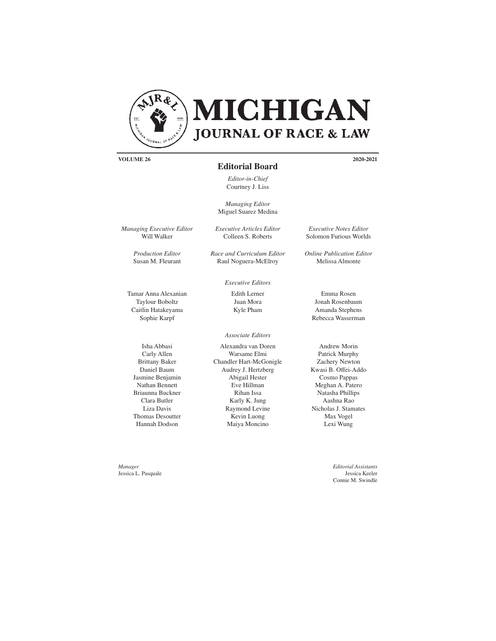

**VOLUME 26 2020-2021**

#### **Editorial Board**

*Editor-in-Chief* Courtney J. Liss

*Managing Editor* Miguel Suarez Medina

*Executive Articles Editor* Colleen S. Roberts

> Edith Lerner Juan Mora Kyle Pham

*Executive Editors*

*Race and Curriculum Editor* Raul Noguera-McElroy

*Managing Executive Editor* Will Walker

> *Production Editor* Susan M. Fleurant

Tamar Anna Alexanian Taylour Boboltz Caitlin Hatakeyama Sophie Karpf

Isha Abbasi Carly Allen Brittany Baker Daniel Baum Jasmine Benjamin Nathan Bennett Briaunna Buckner Clara Butler Liza Davis Thomas Desoutter Hannah Dodson

*Manager* Jessica L. Pasquale

Alexandra van Doren Warsame Elmi Chandler Hart-McGonigle Audrey J. Hertzberg Abigail Hester Eve Hillman Rihan Issa Karly K. Jung Raymond Levine Kevin Luong *Associate Editors*

Maiya Moncino

*Executive Notes Editor* Solomon Furious Worlds

*Online Publication Editor* Melissa Almonte

> Emma Rosen Jonah Rosenbaum Amanda Stephens Rebecca Wasserman

Andrew Morin Patrick Murphy Zachery Newton Kwasi B. Offei-Addo Cosmo Pappas Meghan A. Patero Natasha Phillips Aashna Rao Nicholas J. Stamates Max Vogel Lexi Wung

> *Editorial Assistants* Jessica Keeler Connie M. Swindle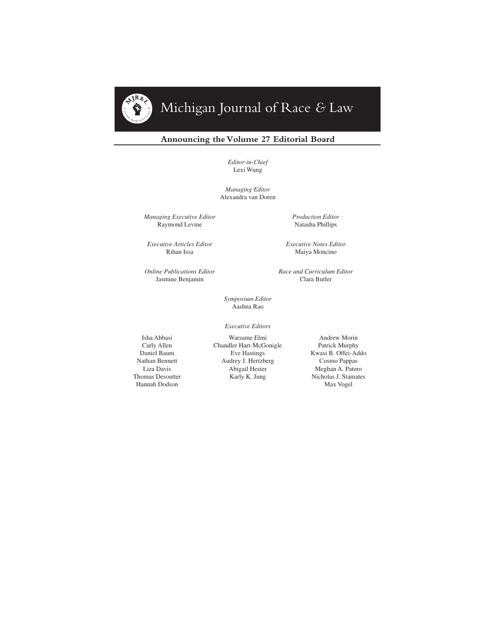# Michigan Journal of Race *&* Law

### **Announcing the Volume 27 Editorial Board**

*Editor-in-Chief* Lexi Wung

*Managing Editor* Alexandra van Doren

*Managing Executive Editor* Raymond Levine

*Executive Articles Editor* Rihan Issa

*Online Publications Editor* Jasmine Benjamin

*Production Editor* Natasha Phillips

*Executive Notes Editor* Maiya Moncino

*Race and Curriculum Editor* Clara Butler

*Symposium Editor* Aashna Rao

*Executive Editors*

Isha Abbasi Carly Allen Daniel Baum Nathan Bennett Liza Davis Thomas Desoutter Hannah Dodson

Warsame Elmi Chandler Hart-McGonigle Eve Hastings Audrey J. Hertzberg Abigail Hester Karly K. Jung

Andrew Morin Patrick Murphy Kwasi B. Offei-Addo Cosmo Pappas Meghan A. Patero Nicholas J. Stamates Max Vogel